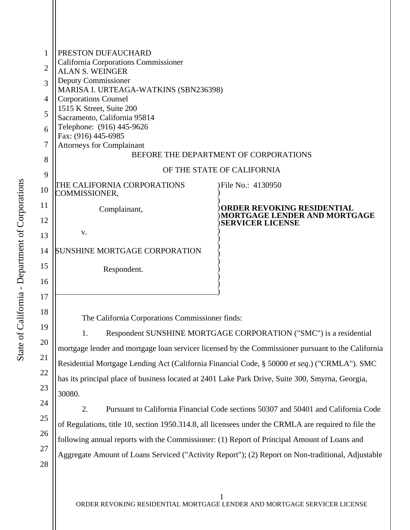| 1<br>$\overline{2}$<br>3<br>4<br>5<br>6<br>7<br>8                    | PRESTON DUFAUCHARD<br>California Corporations Commissioner<br><b>ALAN S. WEINGER</b><br>Deputy Commissioner<br>MARISA I. URTEAGA-WATKINS (SBN236398)<br><b>Corporations Counsel</b><br>1515 K Street, Suite 200<br>Sacramento, California 95814<br>Telephone: (916) 445-9626<br>Fax: (916) 445-6985<br><b>Attorneys for Complainant</b><br>BEFORE THE DEPARTMENT OF CORPORATIONS<br>OF THE STATE OF CALIFORNIA                                                                                                                                                                                                                                                                                                                                                                                                                                         |                                                                                       |
|----------------------------------------------------------------------|--------------------------------------------------------------------------------------------------------------------------------------------------------------------------------------------------------------------------------------------------------------------------------------------------------------------------------------------------------------------------------------------------------------------------------------------------------------------------------------------------------------------------------------------------------------------------------------------------------------------------------------------------------------------------------------------------------------------------------------------------------------------------------------------------------------------------------------------------------|---------------------------------------------------------------------------------------|
| 9<br>10                                                              | THE CALIFORNIA CORPORATIONS                                                                                                                                                                                                                                                                                                                                                                                                                                                                                                                                                                                                                                                                                                                                                                                                                            | )File No.: 4130950                                                                    |
| 11<br>12                                                             | COMMISSIONER,<br>Complainant,<br>V.                                                                                                                                                                                                                                                                                                                                                                                                                                                                                                                                                                                                                                                                                                                                                                                                                    | ORDER REVOKING RESIDENTIAL<br>MORTGAGE LENDER AND MORTGAGE<br><b>SERVICER LICENSE</b> |
| 13<br>14<br>15<br>16                                                 | SUNSHINE MORTGAGE CORPORATION<br>Respondent.                                                                                                                                                                                                                                                                                                                                                                                                                                                                                                                                                                                                                                                                                                                                                                                                           |                                                                                       |
| 17<br>18<br>19<br>20<br>21<br>22<br>23<br>24<br>25<br>26<br>27<br>28 | The California Corporations Commissioner finds:<br>Respondent SUNSHINE MORTGAGE CORPORATION ("SMC") is a residential<br>1.<br>mortgage lender and mortgage loan servicer licensed by the Commissioner pursuant to the California<br>Residential Mortgage Lending Act (California Financial Code, § 50000 et seq.) ("CRMLA"). SMC<br>has its principal place of business located at 2401 Lake Park Drive, Suite 300, Smyrna, Georgia,<br>30080.<br>Pursuant to California Financial Code sections 50307 and 50401 and California Code<br>2.<br>of Regulations, title 10, section 1950.314.8, all licensees under the CRMLA are required to file the<br>following annual reports with the Commissioner: (1) Report of Principal Amount of Loans and<br>Aggregate Amount of Loans Serviced ("Activity Report"); (2) Report on Non-traditional, Adjustable |                                                                                       |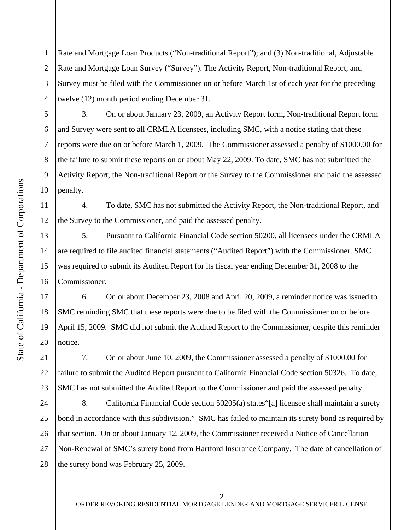1 2 3 4 Rate and Mortgage Loan Products ("Non-traditional Report"); and (3) Non-traditional, Adjustable Rate and Mortgage Loan Survey ("Survey"). The Activity Report, Non-traditional Report, and Survey must be filed with the Commissioner on or before March 1st of each year for the preceding twelve (12) month period ending December 31.

3. On or about January 23, 2009, an Activity Report form, Non-traditional Report form and Survey were sent to all CRMLA licensees, including SMC, with a notice stating that these reports were due on or before March 1, 2009. The Commissioner assessed a penalty of \$1000.00 for the failure to submit these reports on or about May 22, 2009. To date, SMC has not submitted the Activity Report, the Non-traditional Report or the Survey to the Commissioner and paid the assessed penalty.

4. To date, SMC has not submitted the Activity Report, the Non-traditional Report, and the Survey to the Commissioner, and paid the assessed penalty.

5. Pursuant to California Financial Code section 50200, all licensees under the CRMLA are required to file audited financial statements ("Audited Report") with the Commissioner. SMC was required to submit its Audited Report for its fiscal year ending December 31, 2008 to the Commissioner.

6. On or about December 23, 2008 and April 20, 2009, a reminder notice was issued to SMC reminding SMC that these reports were due to be filed with the Commissioner on or before April 15, 2009. SMC did not submit the Audited Report to the Commissioner, despite this reminder notice.

7. On or about June 10, 2009, the Commissioner assessed a penalty of \$1000.00 for failure to submit the Audited Report pursuant to California Financial Code section 50326. To date, SMC has not submitted the Audited Report to the Commissioner and paid the assessed penalty.

24 25 26 27 28 8. California Financial Code section 50205(a) states"[a] licensee shall maintain a surety bond in accordance with this subdivision." SMC has failed to maintain its surety bond as required by that section. On or about January 12, 2009, the Commissioner received a Notice of Cancellation Non-Renewal of SMC's surety bond from Hartford Insurance Company. The date of cancellation of the surety bond was February 25, 2009.

5

6

7

8

9

10

11

12

13

14

15

16

17

18

19

20

21

22

23

 $\mathcal{D}_{\mathcal{L}}$ 

ORDER REVOKING RESIDENTIAL MORTGAGE LENDER AND MORTGAGE SERVICER LICENSE